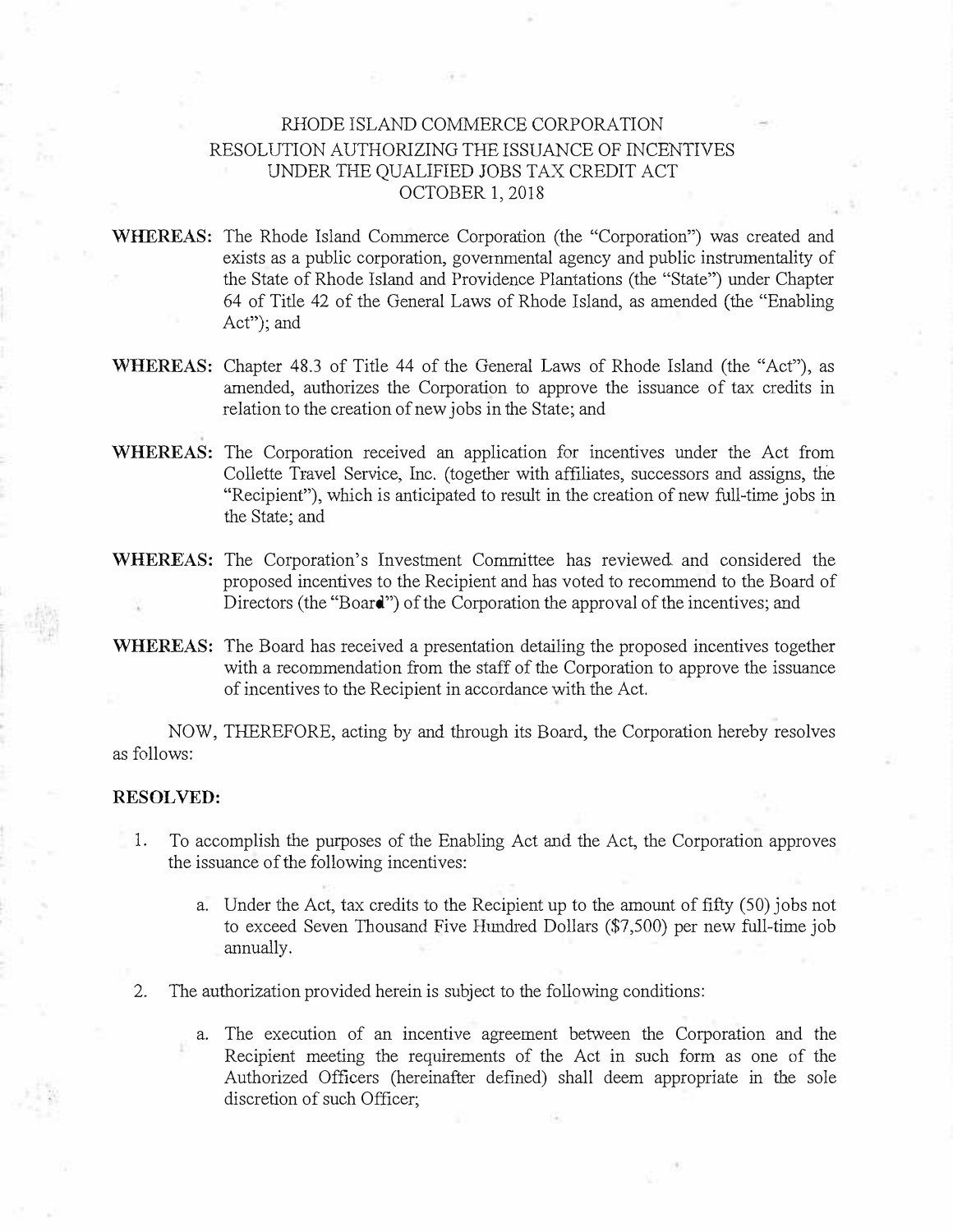## RHODE ISLAND COMMERCE CORPORATION RESOLUTION AUTHORIZING THE ISSUANCE OF INCENTIVES UNDER THE QUALIFIED JOBS TAX CREDIT ACT OCTOBER 1, 2018

- **WHEREAS:** The Rhode Island Commerce Corporation (the "Corporation") was created and exists as a public corporation, governmental agency and public instrumentality of the State of Rhode Island and Providence Plantations (the "State") under Chapter 64 of Title 42 of the General Laws of Rhode Island, as amended (the "Enabling Act"); and
- **WHEREAS:** Chapter 48.3 of Title 44 of the General Laws of Rhode Island (the "Act"), as amended, authorizes the Corporation to approve the issuance of tax credits in relation to the creation of new jobs in the State; and
- **WHEREAS:** The Corporation received an application for incentives under the Act from Collette Travel Service, Inc. (together with affiliates, successors and assigns, the "Recipient"), which is anticipated to result in the creation of new full-time jobs in the State; and
- **WHEREAS:** The Corporation's Investment Committee has reviewed. and considered the proposed incentives to the Recipient and has voted to recommend to the Board of Directors (the "Board") of the Corporation the approval of the incentives; and
- **WHEREAS:** The Board has received a presentation detailing the proposed incentives together with a recommendation from the staff of the Corporation to approve the issuance of incentives to the Recipient in accordance with the Act.

NOW, THEREFORE, acting by and through its Board, the Corporation hereby resolves as follows:

## **RESOLVED:**

- 1. To accomplish the purposes of the Enabling Act and the Act, the Corporation approves the issuance of the following incentives:
	- a. Under the Act, tax credits to the Recipient up to the amount of fifty (50) jobs not to exceed Seven Thousand Five Hundred Dollars (\$7,500) per new full-time job annually.
- 2. The authorization provided herein is subject to the following conditions:
	- a. The execution of an incentive agreement between the Corporation and the Recipient meeting the requirements of the Act in such form as one of the Authorized Officers (hereinafter defined) shall deem appropriate in the sole discretion of such Officer;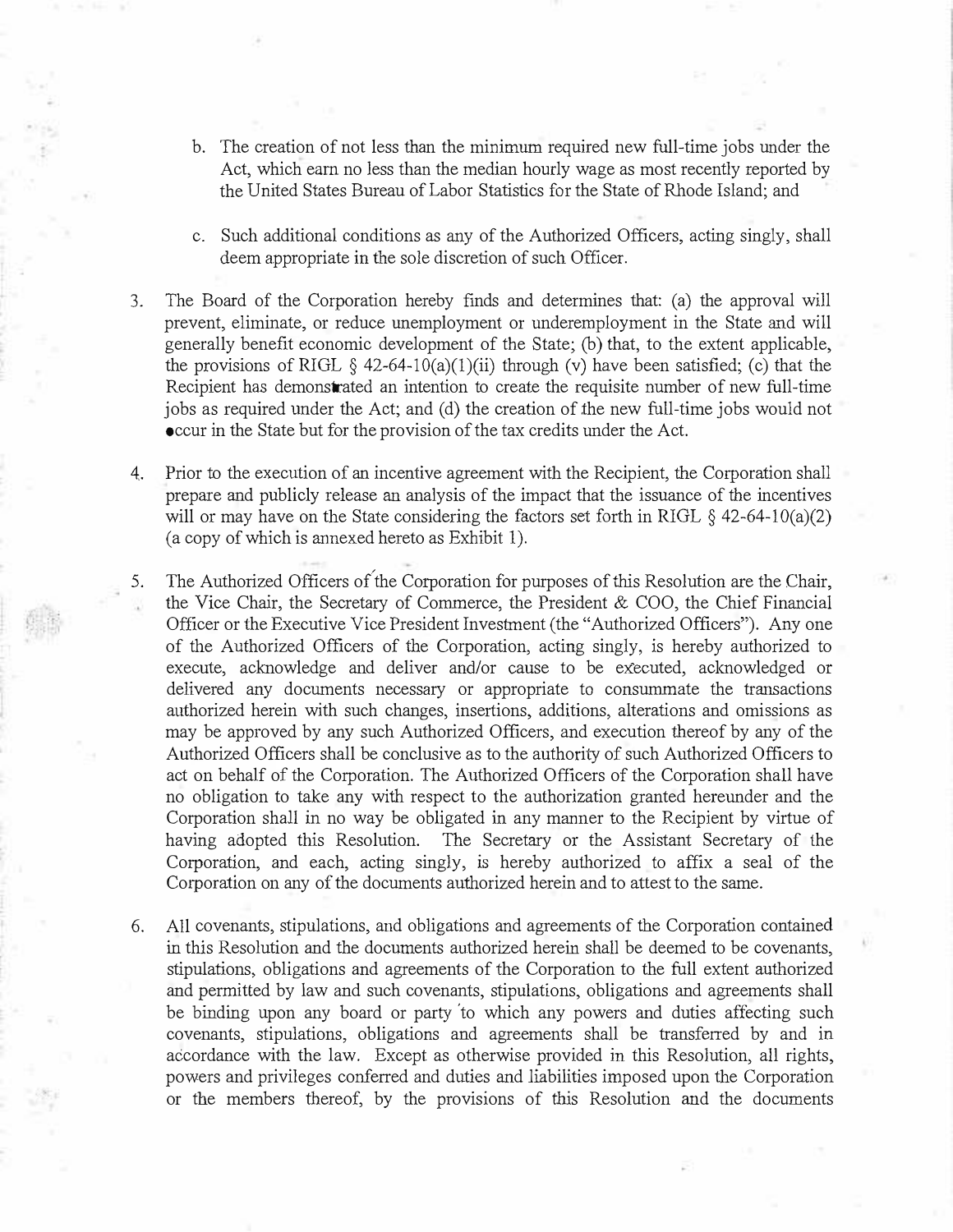- b. The creation of not less than the minimum required new full-time jobs under the Act, which earn no less than the median hourly wage as most recently reported by the United States Bureau of Labor Statistics for the State of Rhode Island; and
- c. Such additional conditions as any of the Authorized Officers, acting singly, shall deem appropriate in the sole discretion of such Officer.
- 3. The Board of the Corporation hereby finds and determines that: (a) the approval will prevent, eliminate, or reduce unemployment or underemployment in the State and will generally benefit economic development of the State; (b) that, to the extent applicable, the provisions of RIGL  $\S$  42-64-10(a)(1)(ii) through (v) have been satisfied; (c) that the Recipient has demonstrated an intention to create the requisite number of new full-time jobs as required under the Act; and (d) the creation of the new full-time jobs would not occur in the State but for the provision of the tax credits under the Act.
- 4. Prior to the execution of an incentive agreement with the Recipient, the Corporation shall prepare and publicly release an analysis of the impact that the issuance of the incentives will or may have on the State considering the factors set forth in RIGL  $\S$  42-64-10(a)(2) (a copy of which is annexed hereto as Exhibit 1).
- 5. The Authorized Officers of the Corporation for purposes of this Resolution are the Chair, the Vice Chair, the Secretary of Commerce, the President & COO, the Chief Financial Officer or the Executive Vice President Investment (the "Authorized Officers"). Any one of the Authorized Officers of the Corporation, acting singly, is hereby authorized to execute, acknowledge and deliver and/or cause to be executed, acknowledged or delivered any documents necessary or appropriate to consummate the transactions authorized herein with such changes, insertions, additions, alterations and omissions as may be approved by any such Authorized Officers, and execution thereof by any of the Authorized Officers shall be conclusive as to the authority of such Authorized Officers to act on behalf of the Corporation. The Authorized Officers of the Corporation shall have no obligation to take any with respect to the authorization granted hereunder and the Corporation shall in no way be obligated in any manner to the Recipient by virtue of having adopted this Resolution. The Secretary or the Assistant Secretary of the Corporation, and each, acting singly, is hereby authorized to affix a seal of the Corporation on any of the documents authorized herein and to attest to the same.
- 6. All covenants, stipulations, and obligations and agreements of the Corporation contained in this Resolution and the documents authorized herein shall be deemed to be covenants, stipulations, obligations and agreements of the Corporation to the full extent authorized and permitted by law and such covenants, stipulations, obligations and agreements shall be binding upon any board or party to which any powers and duties affecting such covenants, stipulations, obligations and agreements shall be transferred by and in accordance with the law. Except as otherwise provided in this Resolution, all rights, powers and privileges conferred and duties and liabilities imposed upon the Corporation or the members thereof, by the provisions of this Resolution and the documents